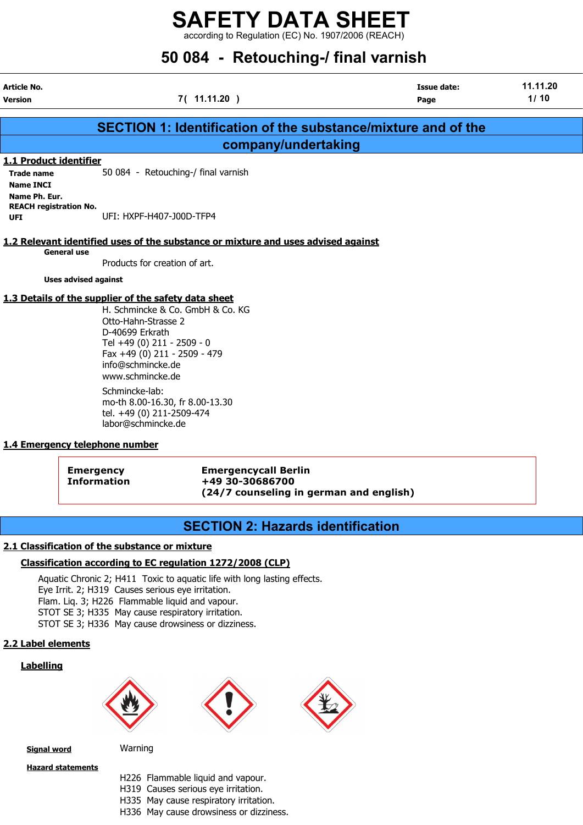according to Regulation (EC) No. 1907/2006 (REACH)

# 50 084 - Retouching-/ final varnish

|                                     | <b>Issue date:</b>     | 11.11.20                                                                                                                                                                         |
|-------------------------------------|------------------------|----------------------------------------------------------------------------------------------------------------------------------------------------------------------------------|
| 7(11.11.20)                         | Page                   | 1/10                                                                                                                                                                             |
|                                     |                        |                                                                                                                                                                                  |
|                                     |                        |                                                                                                                                                                                  |
|                                     |                        |                                                                                                                                                                                  |
|                                     |                        |                                                                                                                                                                                  |
| 50 084 - Retouching-/ final varnish |                        |                                                                                                                                                                                  |
|                                     |                        |                                                                                                                                                                                  |
|                                     |                        |                                                                                                                                                                                  |
| UFI: HXPF-H407-100D-TFP4            |                        |                                                                                                                                                                                  |
|                                     |                        |                                                                                                                                                                                  |
|                                     |                        |                                                                                                                                                                                  |
|                                     | 1.1 Product identifier | <b>SECTION 1: Identification of the substance/mixture and of the</b><br>company/undertaking<br>1.2 Relevant identified uses of the substance or mixture and uses advised against |

Products for creation of art.

Uses advised against

### 1.3 Details of the supplier of the safety data sheet

H. Schmincke & Co. GmbH & Co. KG Otto-Hahn-Strasse 2 D-40699 Erkrath Tel +49 (0) 211 - 2509 - 0 Fax +49 (0) 211 - 2509 - 479 info@schmincke.de www.schmincke.de Schmincke-lab: mo-th 8.00-16.30, fr 8.00-13.30

tel. +49 (0) 211-2509-474 labor@schmincke.de

### 1.4 Emergency telephone number

Emergency Emergencycall Berlin Information +49 30-30686700 (24/7 counseling in german and english)

# SECTION 2: Hazards identification

### 2.1 Classification of the substance or mixture

### Classification according to EC regulation 1272/2008 (CLP)

Aquatic Chronic 2; H411 Toxic to aquatic life with long lasting effects. Eye Irrit. 2; H319 Causes serious eye irritation. Flam. Liq. 3; H226 Flammable liquid and vapour. STOT SE 3; H335 May cause respiratory irritation. STOT SE 3; H336 May cause drowsiness or dizziness.

### 2.2 Label elements

### Labelling







**Signal word** Warning

Hazard statements

- H226 Flammable liquid and vapour.
- H319 Causes serious eye irritation.
- H335 May cause respiratory irritation.
- H336 May cause drowsiness or dizziness.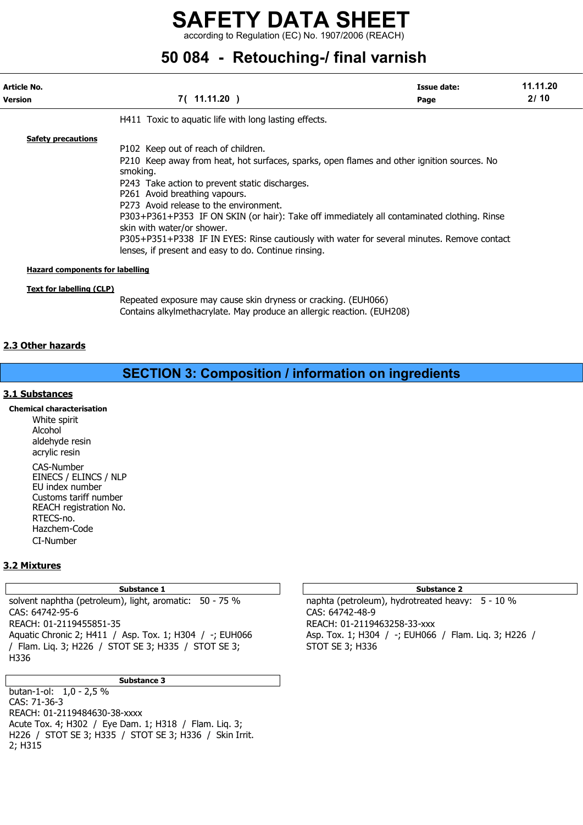according to Regulation (EC) No. 1907/2006 (REACH)

# 50 084 - Retouching-/ final varnish

| Article No.<br><b>Version</b>                                      | <b>Issue date:</b><br>7(11.11.20)<br>Page                                                                                                                                                                                                                                                                                                                                                                                                                                                                                                                    |  | 11.11.20<br>2/10 |
|--------------------------------------------------------------------|--------------------------------------------------------------------------------------------------------------------------------------------------------------------------------------------------------------------------------------------------------------------------------------------------------------------------------------------------------------------------------------------------------------------------------------------------------------------------------------------------------------------------------------------------------------|--|------------------|
|                                                                    | H411 Toxic to aquatic life with long lasting effects.                                                                                                                                                                                                                                                                                                                                                                                                                                                                                                        |  |                  |
| <b>Safety precautions</b>                                          | P102 Keep out of reach of children.<br>P210 Keep away from heat, hot surfaces, sparks, open flames and other ignition sources. No<br>smoking.<br>P243 Take action to prevent static discharges.<br>P261 Avoid breathing vapours.<br>P273 Avoid release to the environment.<br>P303+P361+P353 IF ON SKIN (or hair): Take off immediately all contaminated clothing. Rinse<br>skin with water/or shower.<br>P305+P351+P338 IF IN EYES: Rinse cautiously with water for several minutes. Remove contact<br>lenses, if present and easy to do. Continue rinsing. |  |                  |
| <b>Hazard components for labelling</b><br>Text for labelling (CLP) |                                                                                                                                                                                                                                                                                                                                                                                                                                                                                                                                                              |  |                  |
|                                                                    | Departed experience may cause skip drupess or crasking (EUH066)                                                                                                                                                                                                                                                                                                                                                                                                                                                                                              |  |                  |

exposure may cause skin dryness or cracking. (EUH066) Contains alkylmethacrylate. May produce an allergic reaction. (EUH208)

### 2.3 Other hazards

# SECTION 3: Composition / information on ingredients

### 3.1 Substances

Chemical characterisation White spirit Alcohol aldehyde resin acrylic resin CAS-Number EINECS / ELINCS / NLP EU index number Customs tariff number

REACH registration No. RTECS-no. Hazchem-Code CI-Number

### 3.2 Mixtures

solvent naphtha (petroleum), light, aromatic: 50 - 75 % naphta (petroleum), hydrotreated heavy: 5 - 10 % CAS: 64742-95-6 CAS: 64742-48-9 REACH: 01-2119455851-35 REACH: 01-2119463258-33-xxx Aquatic Chronic 2; H411 / Asp. Tox. 1; H304 / -; EUH066 Asp. Tox. 1; H304 / -; EUH066 / Flam. Liq. 3; H226 / / Flam. Liq. 3; H226 / STOT SE 3; H335 / STOT SE 3; STOT SE 3; H336 H336

### Substance 3

butan-1-ol: 1,0 - 2,5 % CAS: 71-36-3 REACH: 01-2119484630-38-xxxx Acute Tox. 4; H302 / Eye Dam. 1; H318 / Flam. Liq. 3; H226 / STOT SE 3; H335 / STOT SE 3; H336 / Skin Irrit. 2; H315

#### Substance 1 Substance 2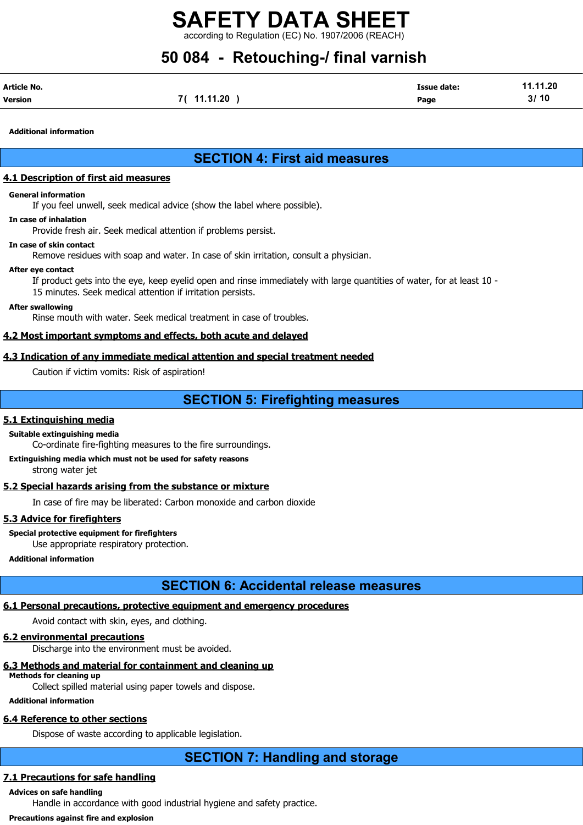rding to Regulation (EC) No. 1907/2006 (REACH)

# 50 084 - Retouching-/ final varnish

| Article No. |             | <b>Issue date:</b> | 11.11.20 |
|-------------|-------------|--------------------|----------|
| Version     | 7( 11.11.20 | Page               | 3/10     |

Additional information

# SECTION 4: First aid measures

### 4.1 Description of first aid measures

### General information

If you feel unwell, seek medical advice (show the label where possible).

### In case of inhalation

Provide fresh air. Seek medical attention if problems persist.

### In case of skin contact

Remove residues with soap and water. In case of skin irritation, consult a physician.

### After eye contact

If product gets into the eye, keep eyelid open and rinse immediately with large quantities of water, for at least 10 - 15 minutes. Seek medical attention if irritation persists.

### After swallowing

Rinse mouth with water. Seek medical treatment in case of troubles.

### 4.2 Most important symptoms and effects, both acute and delayed

### 4.3 Indication of any immediate medical attention and special treatment needed

Caution if victim vomits: Risk of aspiration!

# SECTION 5: Firefighting measures

### 5.1 Extinguishing media

Suitable extinguishing media

Co-ordinate fire-fighting measures to the fire surroundings.

Extinguishing media which must not be used for safety reasons strong water jet

### 5.2 Special hazards arising from the substance or mixture

In case of fire may be liberated: Carbon monoxide and carbon dioxide

### 5.3 Advice for firefighters

Special protective equipment for firefighters Use appropriate respiratory protection.

### Additional information

# SECTION 6: Accidental release measures

### 6.1 Personal precautions, protective equipment and emergency procedures

Avoid contact with skin, eyes, and clothing.

### 6.2 environmental precautions

Discharge into the environment must be avoided.

### 6.3 Methods and material for containment and cleaning up

Methods for cleaning up

Collect spilled material using paper towels and dispose.

### Additional information

# 6.4 Reference to other sections

Dispose of waste according to applicable legislation.

# SECTION 7: Handling and storage

## 7.1 Precautions for safe handling

# Advices on safe handling

Handle in accordance with good industrial hygiene and safety practice.

### Precautions against fire and explosion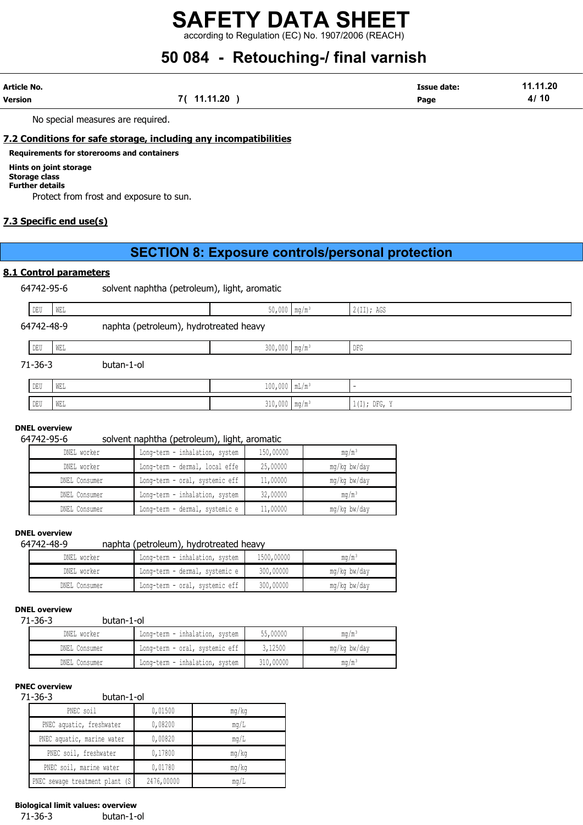according to Regulation (EC) No. 1907/2006 (REACH)

# 50 084 - Retouching-/ final varnish

| Article No. |            | <b>Issue date:</b> | 11.11.20 |
|-------------|------------|--------------------|----------|
| Version     | 7(11.11.20 | Page               | 4/10     |

No special measures are required.

### 7.2 Conditions for safe storage, including any incompatibilities

### Requirements for storerooms and containers

### Hints on joint storage

Storage class Further details

Protect from frost and exposure to sun.

### 7.3 Specific end use(s)

# SECTION 8: Exposure controls/personal protection

### 8.1 Control parameters

64742-95-6 solvent naphtha (petroleum), light, aromatic

| DEU           | WEL |                                        | $50,000$ mg/m <sup>3</sup>  | 2(II); AGS     |  |
|---------------|-----|----------------------------------------|-----------------------------|----------------|--|
| 64742-48-9    |     | naphta (petroleum), hydrotreated heavy |                             |                |  |
| DEU           | WEL |                                        | $300,000$ mg/m <sup>3</sup> | DFG            |  |
| $71 - 36 - 3$ |     | butan-1-ol                             |                             |                |  |
| DEU           | WEL |                                        | $100,000$ $mL/m^3$          |                |  |
| DEU           | WEL |                                        | $310,000$ mg/m <sup>3</sup> | $1(I);$ DFG, Y |  |

### DNEL overview

### 64742-95-6 solvent naphtha (petroleum), light, aromatic

| DNEL worker   | Long-term - inhalation, system | 150,00000 | mq/m <sup>3</sup> |
|---------------|--------------------------------|-----------|-------------------|
| DNEL worker   | Long-term - dermal, local effe | 25,00000  | mg/kg bw/day      |
| DNEL Consumer | Long-term - oral, systemic eff | 11,00000  | mg/kg bw/day      |
| DNEL Consumer | Long-term - inhalation, system | 32,00000  | mq/m <sup>3</sup> |
| DNEL Consumer | Long-term - dermal, systemic e | 11,00000  | mg/kg bw/day      |

### DNEL overview

### 64742-48-9 naphta (petroleum), hydrotreated heavy

| DNEL worker   | Long-term - inhalation, system   | 1500,00000 | ma/mª        |
|---------------|----------------------------------|------------|--------------|
| DNEL worker   | Long-term - dermal, systemic e l | 300,00000  | mg/kg bw/day |
| DNEL Consumer | Long-term - oral, systemic eff   | 300,00000  | mg/kg bw/day |

#### DNEL overview

| butan-1-ol |
|------------|
|            |
|            |

| DNEL worker   | Long-term - inhalation, system | 55,00000  | $\text{max}/\text{m}$ |
|---------------|--------------------------------|-----------|-----------------------|
| DNEL Consumer | Long-term - oral, systemic eff | 3,12500   | mg/kg bw/day          |
| DNEL Consumer | Long-term - inhalation, system | 310,00000 | $\text{ma/m}^3$       |

#### PNEC overview

71-36-3 butan-1-ol

| PNEC soil                       | 0,01500    | mq/kg |
|---------------------------------|------------|-------|
| PNEC aquatic, freshwater        | 0,08200    | mq/L  |
| PNEC aquatic, marine water      | 0,00820    | mq/L  |
| PNEC soil, freshwater           | 0,17800    | mg/kg |
| PNEC soil, marine water         | 0,01780    | mq/kg |
| PNEC sewage treatment plant (S) | 2476,00000 | mq/L  |

### Biological limit values: overview

71-36-3 butan-1-ol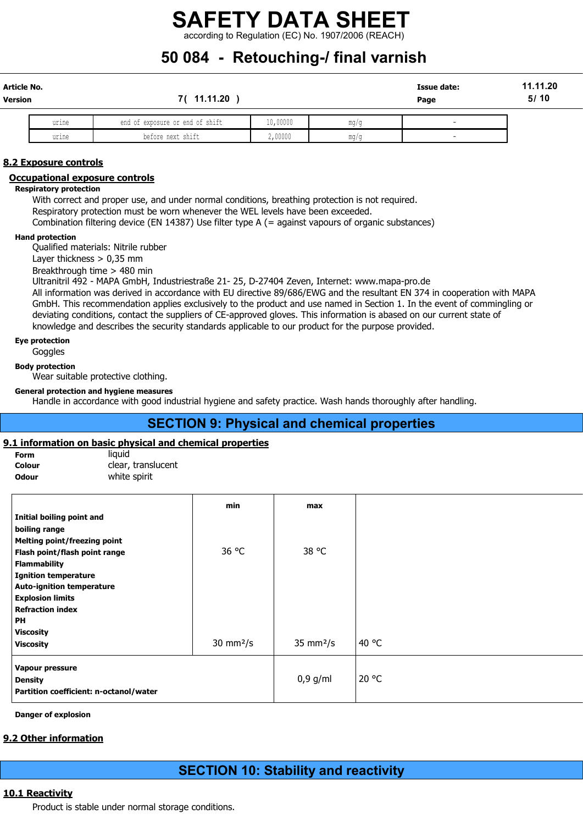according to Regulation (EC) No. 1907/2006 (REACH)

# 50 084 - Retouching-/ final varnish

| Article No.<br>Version |       | 11.11.20                        |          |      | <b>Issue date:</b><br>Page | 11.11.20<br>5/10 |
|------------------------|-------|---------------------------------|----------|------|----------------------------|------------------|
|                        | urine | end of exposure or end of shift | 10,00000 | mq/c | -                          |                  |
|                        |       | .                               | .        |      |                            |                  |

urine in the periode next shift that is a cycloudy of the major many of the contract of the contract of the co

### 8.2 Exposure controls

### Occupational exposure controls

#### Respiratory protection

With correct and proper use, and under normal conditions, breathing protection is not required. Respiratory protection must be worn whenever the WEL levels have been exceeded. Combination filtering device (EN 14387) Use filter type A (= against vapours of organic substances)

#### Hand protection

Qualified materials: Nitrile rubber

Layer thickness > 0,35 mm

Breakthrough time > 480 min

Ultranitril 492 - MAPA GmbH, Industriestraße 21- 25, D-27404 Zeven, Internet: www.mapa-pro.de All information was derived in accordance with EU directive 89/686/EWG and the resultant EN 374 in cooperation with MAPA GmbH. This recommendation applies exclusively to the product and use named in Section 1. In the event of commingling or deviating conditions, contact the suppliers of CE-approved gloves. This information is abased on our current state of knowledge and describes the security standards applicable to our product for the purpose provided.

### Eye protection

**Goggles** 

Body protection

Wear suitable protective clothing.

### General protection and hygiene measures

Handle in accordance with good industrial hygiene and safety practice. Wash hands thoroughly after handling.

## SECTION 9: Physical and chemical properties

### 9.1 information on basic physical and chemical properties

| Form   |
|--------|
| Colour |
| ייייטא |

liquid clear, translucent **Odour White spirit** 

| min<br>36 °C | max                        |       |
|--------------|----------------------------|-------|
|              |                            |       |
|              |                            |       |
|              |                            |       |
|              |                            |       |
|              | 38 °C                      |       |
|              |                            |       |
|              |                            |       |
|              |                            |       |
|              |                            |       |
|              |                            |       |
|              |                            |       |
|              |                            |       |
|              | $35 \text{ mm}^2/\text{s}$ | 40 °C |
|              |                            |       |
|              | $0,9$ g/ml                 | 20 °C |
|              |                            |       |
|              | $30 \text{ mm}^2/\text{s}$ |       |

Danger of explosion

### 9.2 Other information

# SECTION 10: Stability and reactivity

### 10.1 Reactivity

Product is stable under normal storage conditions.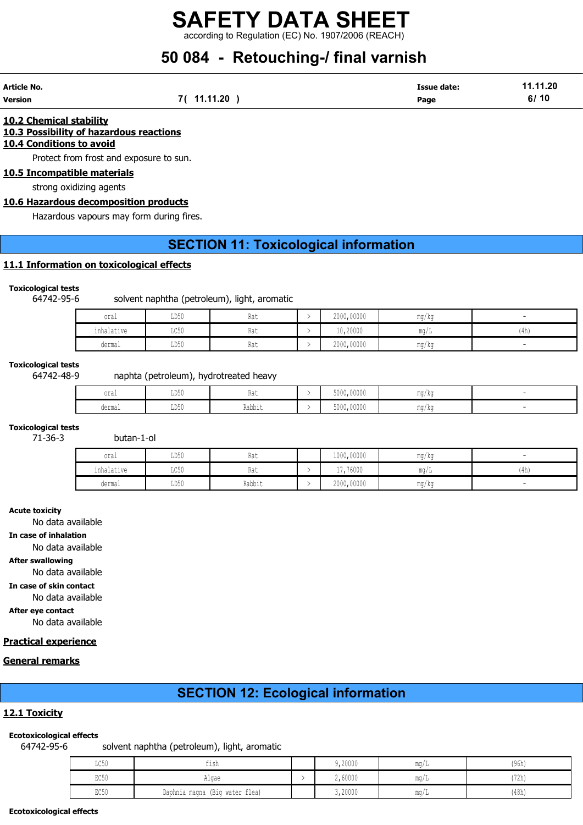according to Regulation (EC) No. 1907/2006 (REACH)

# 50 084 - Retouching-/ final varnish

| Article No. |             | <b>Issue date:</b> | 11.11.20 |
|-------------|-------------|--------------------|----------|
| Version     | 7( 11.11.20 | Page               | 6/10     |

### 10.2 Chemical stability 10.3 Possibility of hazardous reactions 10.4 Conditions to avoid

Protect from frost and exposure to sun.

### 10.5 Incompatible materials

strong oxidizing agents

### 10.6 Hazardous decomposition products

Hazardous vapours may form during fires.

# SECTION 11: Toxicological information

### 11.1 Information on toxicological effects

### Toxicological tests

### 64742-95-6 solvent naphtha (petroleum), light, aromatic

| oral                                             | TDEC<br>⊥⊔∪∪                        | <b>INA 6</b> | 2000,00000 | mg/kg |      |
|--------------------------------------------------|-------------------------------------|--------------|------------|-------|------|
| $\sim$<br><b>Contract Contract</b><br>inhalative | $T \cap E \cap$<br>コレマカ             | 114 L        | 10,20000   | ma/L  | (4h) |
| dermal                                           | $-0.55$<br>11 <sub>h</sub> 1<br>∪∪ע | 1100         | 2000,00000 | mg/kg |      |

### Toxicological tests

### 64742-48-9 naphta (petroleum), hydrotreated heavy

| oral   | <b>TDEO</b><br>ມມ⊍∨ | .<br><b>INA 6</b> | 5000,00000 | mg/kg |  |
|--------|---------------------|-------------------|------------|-------|--|
| dermal | TDE0<br>∪∪ע         | Dahhi.<br>ιναυν⊥ι | 5000,00000 | mg/kg |  |

### Toxicological tests

71-36-3 butan-1-ol

| oral       | LD50 | Rat    | 1000,00000 | ma/ka                 |      |
|------------|------|--------|------------|-----------------------|------|
| inhalative | LC50 | Rat    | 17,76000   | $m \sim$<br>111.U / 1 | (4h) |
| dermal     | LD50 | Rabbit | 2000,00000 | ma/ka                 |      |

### Acute toxicity

No data available

### In case of inhalation

No data available

### After swallowing

No data available

In case of skin contact

No data available

### After eye contact

No data available

### Practical experience

### General remarks

# SECTION 12: Ecological information

### 12.1 Toxicity

### Ecotoxicological effects

64742-95-6 solvent naphtha (petroleum), light, aromatic

| $T \cap E \cap$<br>コワンク | $-1$<br>tısh                   | 9,20000 | $\text{max/L}$ | (96h) |
|-------------------------|--------------------------------|---------|----------------|-------|
| $P \cap E \cap$<br>むしりり | Algae                          | 2,60000 | mq/L           | '72h) |
| $P \cap E \cap$<br>せいりり | Daphnia magna (Big water flea) | 3,20000 | $\text{max/L}$ | (48h) |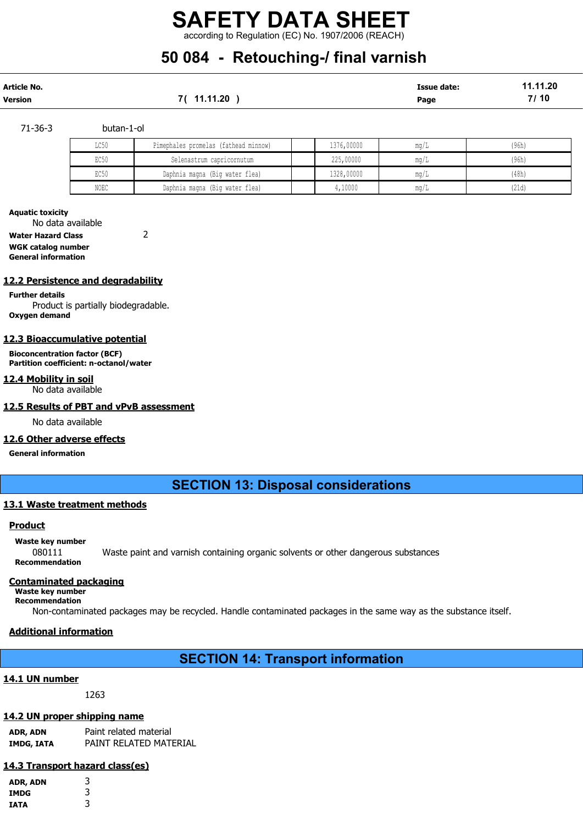# SAFETY DATA SHEET according to Regulation (EC) No. 1907/2006 (REACH)

# 50 084 - Retouching-/ final varnish

| Article No.    |            | <b>Issue date:</b> | 11.11.20 |
|----------------|------------|--------------------|----------|
| <b>Version</b> | 7(11.11.20 | Page               | 7/10     |

### 71-36-3 butan-1-ol

| LC50 | Pimephales promelas (fathead minnow) | 1376,00000 | ma/L                         | (96h) |
|------|--------------------------------------|------------|------------------------------|-------|
| EC50 | Selenastrum capricornutum            | 225,00000  | ma/L                         | (96h) |
| EC50 | Daphnia magna (Big water flea)       | 1328,00000 | $\text{m} \alpha / \text{L}$ | (48h) |
| NOEC | Daphnia magna (Big water flea)       | ,10000     | ma/L                         | (21d) |

#### Aquatic toxicity

No data available

Water Hazard Class 2

WGK catalog number General information

### 12.2 Persistence and degradability

Further details Product is partially biodegradable. Oxygen demand

### 12.3 Bioaccumulative potential

Bioconcentration factor (BCF) Partition coefficient: n-octanol/water

#### 12.4 Mobility in soil No data available

### 12.5 Results of PBT and vPvB assessment

No data available

### 12.6 Other adverse effects

General information

## SECTION 13: Disposal considerations

### 13.1 Waste treatment methods

### **Product**

### Waste key number

080111 Waste paint and varnish containing organic solvents or other dangerous substances Recommendation

### Contaminated packaging

Waste key number Recommendation

Non-contaminated packages may be recycled. Handle contaminated packages in the same way as the substance itself.

### Additional information

## SECTION 14: Transport information

### 14.1 UN number

1263

### 14.2 UN proper shipping name

ADR, ADN Paint related material IMDG, IATA PAINT RELATED MATERIAL

### 14.3 Transport hazard class(es)

| ADR, ADN | 3 |
|----------|---|
| IMDG     | 3 |
| IATA     | 3 |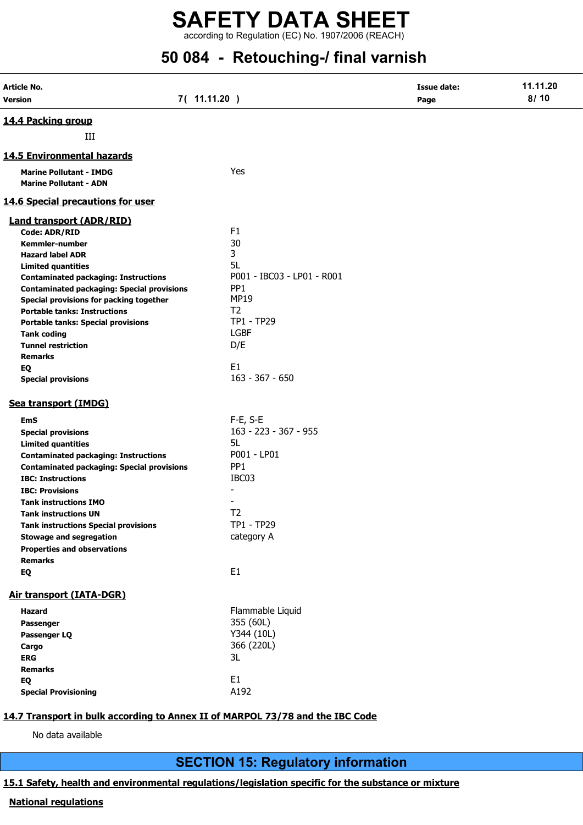according to Regulation (EC) No. 1907/2006 (REACH)

# 50 084 - Retouching-/ final varnish

| Article No.<br>Version                                                        | 7( 11.11.20 )              | <b>Issue date:</b><br>Page | 11.11.20<br>8/10 |
|-------------------------------------------------------------------------------|----------------------------|----------------------------|------------------|
| 14.4 Packing group                                                            |                            |                            |                  |
| Ш                                                                             |                            |                            |                  |
| 14.5 Environmental hazards                                                    |                            |                            |                  |
| <b>Marine Pollutant - IMDG</b><br><b>Marine Pollutant - ADN</b>               | Yes                        |                            |                  |
| <b>14.6 Special precautions for user</b>                                      |                            |                            |                  |
| <b>Land transport (ADR/RID)</b>                                               |                            |                            |                  |
| <b>Code: ADR/RID</b>                                                          | F <sub>1</sub>             |                            |                  |
| Kemmler-number                                                                | 30                         |                            |                  |
| <b>Hazard label ADR</b>                                                       | 3                          |                            |                  |
| <b>Limited quantities</b>                                                     | 5L                         |                            |                  |
| <b>Contaminated packaging: Instructions</b>                                   | P001 - IBC03 - LP01 - R001 |                            |                  |
| <b>Contaminated packaging: Special provisions</b>                             | PP <sub>1</sub>            |                            |                  |
| Special provisions for packing together                                       | <b>MP19</b>                |                            |                  |
| <b>Portable tanks: Instructions</b>                                           | T <sub>2</sub>             |                            |                  |
| <b>Portable tanks: Special provisions</b>                                     | TP1 - TP29                 |                            |                  |
| <b>Tank coding</b>                                                            | <b>LGBF</b>                |                            |                  |
| <b>Tunnel restriction</b>                                                     | D/E                        |                            |                  |
| <b>Remarks</b>                                                                |                            |                            |                  |
| EQ                                                                            | E1                         |                            |                  |
| <b>Special provisions</b>                                                     | $163 - 367 - 650$          |                            |                  |
| Sea transport (IMDG)                                                          |                            |                            |                  |
| <b>EmS</b>                                                                    | $F-E, S-E$                 |                            |                  |
| <b>Special provisions</b>                                                     | 163 - 223 - 367 - 955      |                            |                  |
| <b>Limited quantities</b>                                                     | 5L                         |                            |                  |
| <b>Contaminated packaging: Instructions</b>                                   | P001 - LP01                |                            |                  |
| <b>Contaminated packaging: Special provisions</b>                             | PP <sub>1</sub>            |                            |                  |
| <b>IBC: Instructions</b>                                                      | IBC03                      |                            |                  |
|                                                                               | $\overline{\phantom{a}}$   |                            |                  |
| <b>IBC: Provisions</b>                                                        |                            |                            |                  |
| <b>Tank instructions IMO</b>                                                  |                            |                            |                  |
| <b>Tank instructions UN</b>                                                   | T <sub>2</sub>             |                            |                  |
| <b>Tank instructions Special provisions</b>                                   | TP1 - TP29                 |                            |                  |
| <b>Stowage and segregation</b>                                                | category A                 |                            |                  |
| <b>Properties and observations</b>                                            |                            |                            |                  |
| <b>Remarks</b>                                                                |                            |                            |                  |
| EQ                                                                            | E1                         |                            |                  |
| Air transport (IATA-DGR)                                                      |                            |                            |                  |
| <b>Hazard</b>                                                                 | Flammable Liquid           |                            |                  |
| Passenger                                                                     | 355 (60L)                  |                            |                  |
| Passenger LQ                                                                  | Y344 (10L)                 |                            |                  |
| Cargo                                                                         | 366 (220L)                 |                            |                  |
| <b>ERG</b>                                                                    | 3L                         |                            |                  |
| <b>Remarks</b>                                                                |                            |                            |                  |
| EQ                                                                            | E <sub>1</sub>             |                            |                  |
| <b>Special Provisioning</b>                                                   | A192                       |                            |                  |
|                                                                               |                            |                            |                  |
| 14.7 Transport in bulk according to Annex II of MARPOL 73/78 and the IBC Code |                            |                            |                  |
|                                                                               |                            |                            |                  |
| No data available                                                             |                            |                            |                  |

SECTION 15: Regulatory information

# 15.1 Safety, health and environmental regulations/legislation specific for the substance or mixture

### National regulations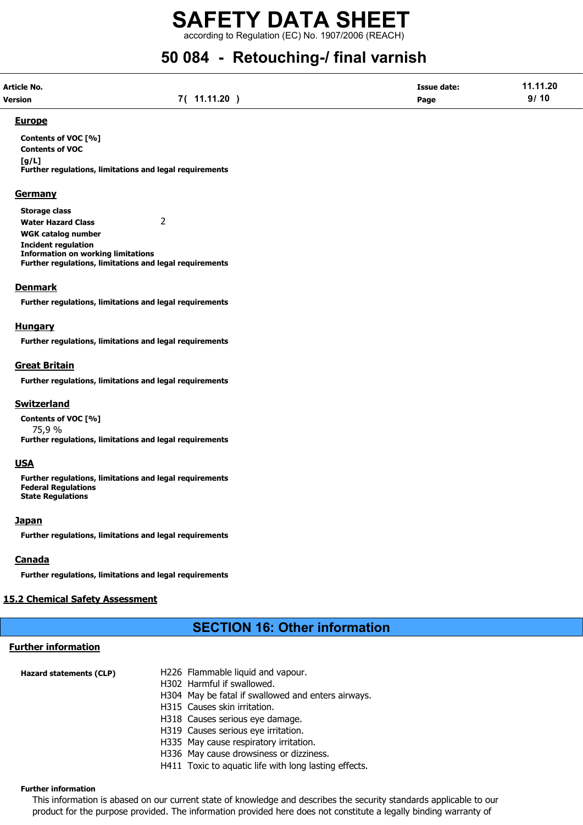according to Regulation (EC) No. 1907/2006 (REACH)

# 50 084 - Retouching-/ final varnish

| Article No. |            | <b>Issue date:</b> | 11.11.20 |
|-------------|------------|--------------------|----------|
| Version     | 7(11.11.20 | Page               | 9/10     |

### Europe

Contents of VOC [%] Contents of VOC  $[a/L]$ Further regulations, limitations and legal requirements

### **Germany**

Storage class Water Hazard Class 2 WGK catalog number Incident regulation Information on working limitations Further regulations, limitations and legal requirements

### **Denmark**

Further regulations, limitations and legal requirements

### **Hungary**

Further regulations, limitations and legal requirements

### Great Britain

Further regulations, limitations and legal requirements

### Switzerland

Contents of VOC [%] 75,9 % Further regulations, limitations and legal requirements

### **USA**

Further regulations, limitations and legal requirements Federal Regulations State Regulations

### **Japan**

Further regulations, limitations and legal requirements

### Canada

Further regulations, limitations and legal requirements

### 15.2 Chemical Safety Assessment

# SECTION 16: Other information

## Further information

| Hazard statements (CLP) | H226 Flammable liquid and vapour.<br>H302 Harmful if swallowed.<br>H304 May be fatal if swallowed and enters airways.<br>H315 Causes skin irritation. |  |
|-------------------------|-------------------------------------------------------------------------------------------------------------------------------------------------------|--|
|                         | H318 Causes serious eye damage.                                                                                                                       |  |
|                         | H319 Causes serious eye irritation.                                                                                                                   |  |
|                         | H335 May cause respiratory irritation.                                                                                                                |  |
|                         | H336 May cause drowsiness or dizziness.                                                                                                               |  |
|                         | H411 Toxic to aquatic life with long lasting effects.                                                                                                 |  |

### Further information

This information is abased on our current state of knowledge and describes the security standards applicable to our product for the purpose provided. The information provided here does not constitute a legally binding warranty of